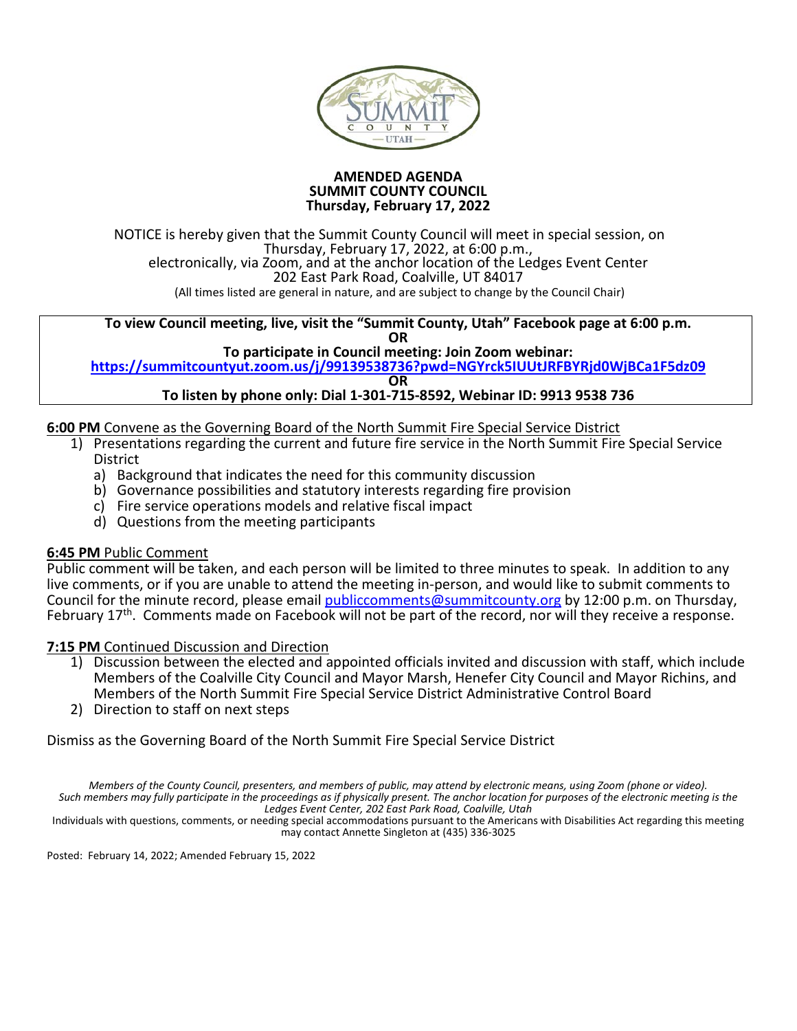

#### **AMENDED AGENDA SUMMIT COUNTY COUNCIL Thursday, February 17, 2022**

NOTICE is hereby given that the Summit County Council will meet in special session, on Thursday, February 17, 2022, at 6:00 p.m., electronically, via Zoom, and at the anchor location of the Ledges Event Center 202 East Park Road, Coalville, UT 84017 (All times listed are general in nature, and are subject to change by the Council Chair)

#### **To view Council meeting, live, visit the "Summit County, Utah" Facebook page at 6:00 p.m. OR**

**To participate in Council meeting: Join Zoom webinar:**

**[https://summitcountyut.zoom.us/j/99139538736?pwd=NGYrck5IUUtJRFBYRjd0WjBCa1F5dz09](https://nam12.safelinks.protection.outlook.com/?url=https%3A%2F%2Fsummitcountyut.zoom.us%2Fj%2F99139538736%3Fpwd%3DNGYrck5IUUtJRFBYRjd0WjBCa1F5dz09&data=04%7C01%7Casingleton%40summitcounty.org%7C58206df5ea9c42d9f88c08d9f0fd80b3%7C497f0086ed7845149cc43715b1894e4e%7C0%7C0%7C637805793851630140%7CUnknown%7CTWFpbGZsb3d8eyJWIjoiMC4wLjAwMDAiLCJQIjoiV2luMzIiLCJBTiI6Ik1haWwiLCJXVCI6Mn0%3D%7C3000&sdata=zKEvr5kIITTtVQmWUzygbDLQgkVeMTuL5aewprEJrb0%3D&reserved=0)**

**OR**

### **To listen by phone only: Dial 1-301-715-8592, Webinar ID: 9913 9538 736**

- **6:00 PM** Convene as the Governing Board of the North Summit Fire Special Service District
	- 1) Presentations regarding the current and future fire service in the North Summit Fire Special Service **District** 
		- a) Background that indicates the need for this community discussion
		- b) Governance possibilities and statutory interests regarding fire provision
		- c) Fire service operations models and relative fiscal impact
		- d) Questions from the meeting participants

### **6:45 PM** Public Comment

Public comment will be taken, and each person will be limited to three minutes to speak. In addition to any live comments, or if you are unable to attend the meeting in-person, and would like to submit comments to Council for the minute record, please emai[l publiccomments@summitcounty.org](mailto:publiccomments@summitcounty.org) by 12:00 p.m. on Thursday, February 17<sup>th</sup>. Comments made on Facebook will not be part of the record, nor will they receive a response.

### **7:15 PM** Continued Discussion and Direction

- 1) Discussion between the elected and appointed officials invited and discussion with staff, which include Members of the Coalville City Council and Mayor Marsh, Henefer City Council and Mayor Richins, and Members of the North Summit Fire Special Service District Administrative Control Board
- 2) Direction to staff on next steps

Dismiss as the Governing Board of the North Summit Fire Special Service District

*Members of the County Council, presenters, and members of public, may attend by electronic means, using Zoom (phone or video). Such members may fully participate in the proceedings as if physically present. The anchor location for purposes of the electronic meeting is the* 

*Ledges Event Center, 202 East Park Road, Coalville, Utah*

Individuals with questions, comments, or needing special accommodations pursuant to the Americans with Disabilities Act regarding this meeting may contact Annette Singleton at (435) 336-3025

Posted: February 14, 2022; Amended February 15, 2022